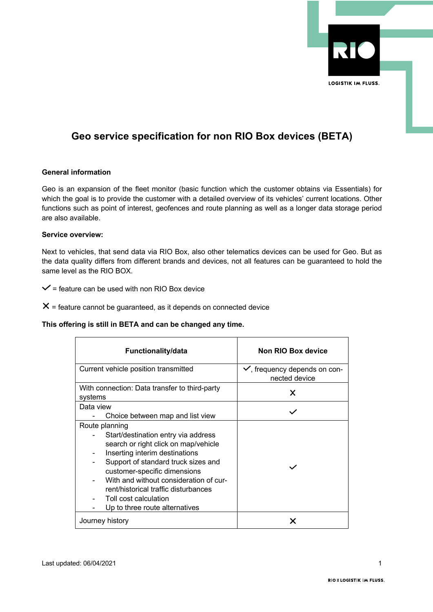

# **Geo service specification for non RIO Box devices (BETA)**

# **General information**

Geo is an expansion of the fleet monitor (basic function which the customer obtains via Essentials) for which the goal is to provide the customer with a detailed overview of its vehicles' current locations. Other functions such as point of interest, geofences and route planning as well as a longer data storage period are also available.

### **Service overview:**

Next to vehicles, that send data via RIO Box, also other telematics devices can be used for Geo. But as the data quality differs from different brands and devices, not all features can be guaranteed to hold the same level as the RIO BOX.

 $\checkmark$  = feature can be used with non RIO Box device

 $X =$  feature cannot be guaranteed, as it depends on connected device

# **This offering is still in BETA and can be changed any time.**

| <b>Functionality/data</b>                                                                                                                                                                                                                                                                                                                           | Non RIO Box device                                        |
|-----------------------------------------------------------------------------------------------------------------------------------------------------------------------------------------------------------------------------------------------------------------------------------------------------------------------------------------------------|-----------------------------------------------------------|
| Current vehicle position transmitted                                                                                                                                                                                                                                                                                                                | $\checkmark$ , frequency depends on con-<br>nected device |
| With connection: Data transfer to third-party<br>systems                                                                                                                                                                                                                                                                                            | Х                                                         |
| Data view<br>Choice between map and list view                                                                                                                                                                                                                                                                                                       |                                                           |
| Route planning<br>Start/destination entry via address<br>search or right click on map/vehicle<br>Inserting interim destinations<br>Support of standard truck sizes and<br>customer-specific dimensions<br>With and without consideration of cur-<br>rent/historical traffic disturbances<br>Toll cost calculation<br>Up to three route alternatives |                                                           |
| Journey history                                                                                                                                                                                                                                                                                                                                     |                                                           |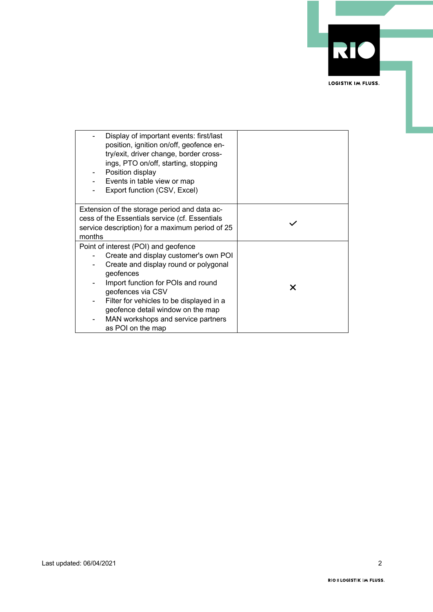

| Display of important events: first/last<br>position, ignition on/off, geofence en-<br>try/exit, driver change, border cross-<br>ings, PTO on/off, starting, stopping<br>Position display<br>Events in table view or map<br>Export function (CSV, Excel) |   |
|---------------------------------------------------------------------------------------------------------------------------------------------------------------------------------------------------------------------------------------------------------|---|
| Extension of the storage period and data ac-<br>cess of the Essentials service (cf. Essentials                                                                                                                                                          |   |
| service description) for a maximum period of 25                                                                                                                                                                                                         |   |
| months                                                                                                                                                                                                                                                  |   |
| Point of interest (POI) and geofence                                                                                                                                                                                                                    |   |
| Create and display customer's own POI                                                                                                                                                                                                                   |   |
| Create and display round or polygonal<br>geofences                                                                                                                                                                                                      |   |
| Import function for POIs and round                                                                                                                                                                                                                      | X |
| geofences via CSV                                                                                                                                                                                                                                       |   |
| Filter for vehicles to be displayed in a                                                                                                                                                                                                                |   |
| geofence detail window on the map                                                                                                                                                                                                                       |   |
| MAN workshops and service partners                                                                                                                                                                                                                      |   |
| as POI on the map                                                                                                                                                                                                                                       |   |